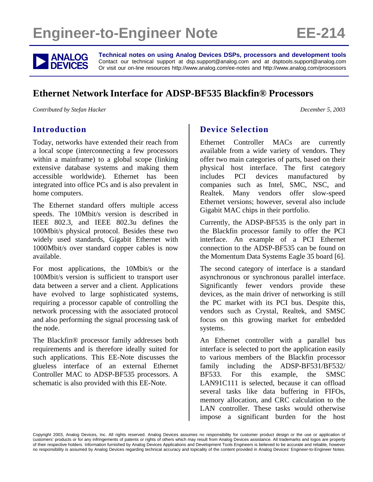# **Engineer-to-Engineer Note EE-214**



**ANALOG** Technical notes on using Analog Devices DSPs, processors and development tools<br> **DEVICES** Or visit our on-line resources http://www.analog.com/ee-notes and http://www.analog.com/processors Contact our technical support at dsp.support@analog.com and at dsptools.support@analog.com Or visit our on-line resources http://www.analog.com/ee-notes and http://www.analog.com/processors

## **Ethernet Network Interface for ADSP-BF535 Blackfin® Processors**

*Contributed by Stefan Hacker December 5, 2003* 

## **Introduction**

Today, networks have extended their reach from a local scope (interconnecting a few processors within a mainframe) to a global scope (linking extensive database systems and making them accessible worldwide). Ethernet has been integrated into office PCs and is also prevalent in home computers.

The Ethernet standard offers multiple access speeds. The 10Mbit/s version is described in IEEE 802.3, and IEEE 802.3u defines the 100Mbit/s physical protocol. Besides these two widely used standards, Gigabit Ethernet with 1000Mbit/s over standard copper cables is now available.

For most applications, the 10Mbit/s or the 100Mbit/s version is sufficient to transport user data between a server and a client. Applications have evolved to large sophisticated systems, requiring a processor capable of controlling the network processing with the associated protocol and also performing the signal processing task of the node.

The Blackfin® processor family addresses both requirements and is therefore ideally suited for such applications. This EE-Note discusses the glueless interface of an external Ethernet Controller MAC to ADSP-BF535 processors. A schematic is also provided with this EE-Note.

## **Device Selection**

Ethernet Controller MACs are currently available from a wide variety of vendors. They offer two main categories of parts, based on their physical host interface. The first category includes PCI devices manufactured by companies such as Intel, SMC, NSC, and Realtek. Many vendors offer slow-speed Ethernet versions; however, several also include Gigabit MAC chips in their portfolio.

Currently, the ADSP-BF535 is the only part in the Blackfin processor family to offer the PCI interface. An example of a PCI Ethernet connection to the ADSP-BF535 can be found on the Momentum Data Systems Eagle 35 board [6].

The second category of interface is a standard asynchronous or synchronous parallel interface. Significantly fewer vendors provide these devices, as the main driver of networking is still the PC market with its PCI bus. Despite this, vendors such as Crystal, Realtek, and SMSC focus on this growing market for embedded systems.

An Ethernet controller with a parallel bus interface is selected to port the application easily to various members of the Blackfin processor family including the ADSP-BF531/BF532/ BF533. For this example, the SMSC LAN91C111 is selected, because it can offload several tasks like data buffering in FIFOs, memory allocation, and CRC calculation to the LAN controller. These tasks would otherwise impose a significant burden for the host

Copyright 2003, Analog Devices, Inc. All rights reserved. Analog Devices assumes no responsibility for customer product design or the use or application of customers' products or for any infringements of patents or rights of others which may result from Analog Devices assistance. All trademarks and logos are property of their respective holders. Information furnished by Analog Devices Applications and Development Tools Engineers is believed to be accurate and reliable, however no responsibility is assumed by Analog Devices regarding technical accuracy and topicality of the content provided in Analog Devices' Engineer-to-Engineer Notes.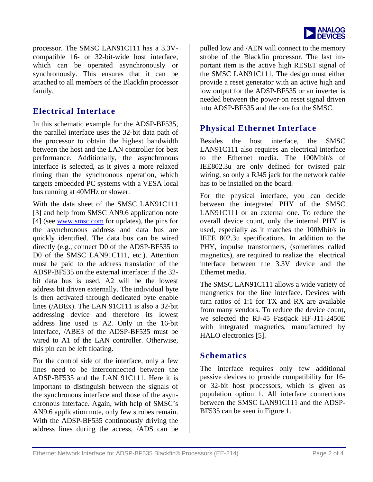

processor. The SMSC LAN91C111 has a 3.3Vcompatible 16- or 32-bit-wide host interface, which can be operated asynchronously or synchronously. This ensures that it can be attached to all members of the Blackfin processor family.

## **Electrical Interface**

In this schematic example for the ADSP-BF535, the parallel interface uses the 32-bit data path of the processor to obtain the highest bandwidth between the host and the LAN controller for best performance. Additionally, the asynchronous interface is selected, as it gives a more relaxed timing than the synchronous operation, which targets embedded PC systems with a VESA local bus running at 40MHz or slower.

With the data sheet of the SMSC LAN91C111 [3] and help from SMSC AN9.6 application note [4] (see [www.smsc.com](http://www.smsc.com/) for updates), the pins for the asynchronous address and data bus are quickly identified. The data bus can be wired directly (e.g., connect D0 of the ADSP-BF535 to D0 of the SMSC LAN91C111, etc.). Attention must be paid to the address translation of the ADSP-BF535 on the external interface: if the 32 bit data bus is used, A2 will be the lowest address bit driven externally. The individual byte is then activated through dedicated byte enable lines (/ABEx). The LAN 91C111 is also a 32-bit addressing device and therefore its lowest address line used is A2. Only in the 16-bit interface, /ABE3 of the ADSP-BF535 must be wired to A1 of the LAN controller. Otherwise, this pin can be left floating.

For the control side of the interface, only a few lines need to be interconnected between the ADSP-BF535 and the LAN 91C111. Here it is important to distinguish between the signals of the synchronous interface and those of the asynchronous interface. Again, with help of SMSC's AN9.6 application note, only few strobes remain. With the ADSP-BF535 continuously driving the address lines during the access, /ADS can be pulled low and /AEN will connect to the memory strobe of the Blackfin processor. The last important item is the active high RESET signal of the SMSC LAN91C111. The design must either provide a reset generator with an active high and low output for the ADSP-BF535 or an inverter is needed between the power-on reset signal driven into ADSP-BF535 and the one for the SMSC.

## **Physical Ethernet Interface**

Besides the host interface, the SMSC LAN91C111 also requires an electrical interface to the Ethernet media. The 100Mbit/s of IEE802.3u are only defined for twisted pair wiring, so only a RJ45 jack for the network cable has to be installed on the board.

For the physical interface, you can decide between the integrated PHY of the SMSC LAN91C111 or an external one. To reduce the overall device count, only the internal PHY is used, especially as it matches the 100Mbit/s in IEEE 802.3u specifications. In addition to the PHY, impulse transformers, (sometimes called magnetics), are required to realize the electrical interface between the 3.3V device and the Ethernet media.

The SMSC LAN91C111 allows a wide variety of mangnetics for the line interface. Devices with turn ratios of 1:1 for TX and RX are available from many vendors. To reduce the device count, we selected the RJ-45 Fastjack HF-J11-2450E with integrated magnetics, manufactured by HALO electronics [5].

## **Schematics**

The interface requires only few additional passive devices to provide compatibility for 16 or 32-bit host processors, which is given as population option 1. All interface connections between the SMSC LAN91C111 and the ADSP-BF535 can be seen in Figure 1.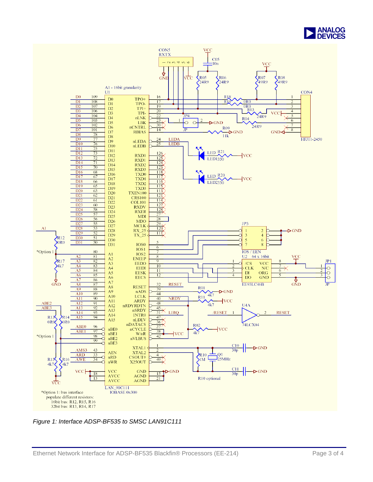



*Figure 1: Interface ADSP-BF535 to SMSC LAN91C111*